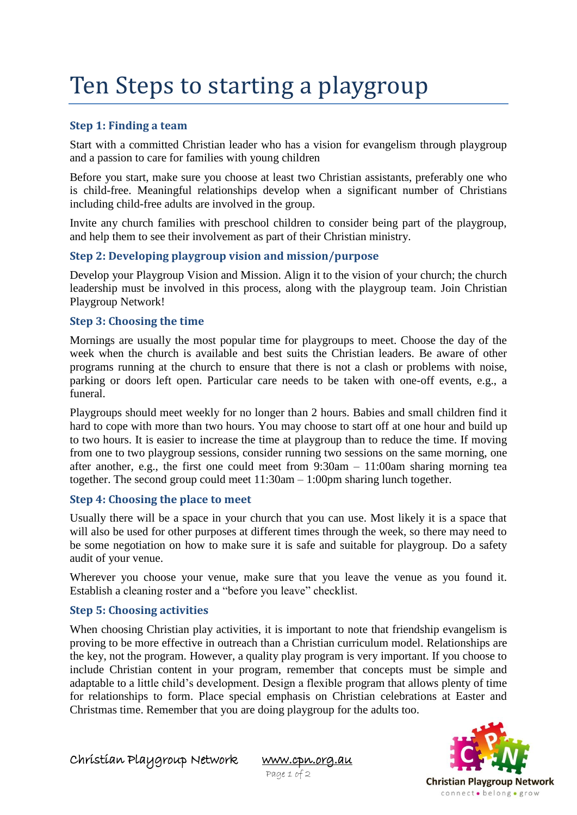# Ten Steps to starting a playgroup

# **Step 1: Finding a team**

Start with a committed Christian leader who has a vision for evangelism through playgroup and a passion to care for families with young children

Before you start, make sure you choose at least two Christian assistants, preferably one who is child-free. Meaningful relationships develop when a significant number of Christians including child-free adults are involved in the group.

Invite any church families with preschool children to consider being part of the playgroup, and help them to see their involvement as part of their Christian ministry.

## **Step 2: Developing playgroup vision and mission/purpose**

Develop your Playgroup Vision and Mission. Align it to the vision of your church; the church leadership must be involved in this process, along with the playgroup team. Join Christian Playgroup Network!

## **Step 3: Choosing the time**

Mornings are usually the most popular time for playgroups to meet. Choose the day of the week when the church is available and best suits the Christian leaders. Be aware of other programs running at the church to ensure that there is not a clash or problems with noise, parking or doors left open. Particular care needs to be taken with one-off events, e.g., a funeral.

Playgroups should meet weekly for no longer than 2 hours. Babies and small children find it hard to cope with more than two hours. You may choose to start off at one hour and build up to two hours. It is easier to increase the time at playgroup than to reduce the time. If moving from one to two playgroup sessions, consider running two sessions on the same morning, one after another, e.g., the first one could meet from 9:30am – 11:00am sharing morning tea together. The second group could meet 11:30am – 1:00pm sharing lunch together.

# **Step 4: Choosing the place to meet**

Usually there will be a space in your church that you can use. Most likely it is a space that will also be used for other purposes at different times through the week, so there may need to be some negotiation on how to make sure it is safe and suitable for playgroup. Do a safety audit of your venue.

Wherever you choose your venue, make sure that you leave the venue as you found it. Establish a cleaning roster and a "before you leave" checklist.

#### **Step 5: Choosing activities**

When choosing Christian play activities, it is important to note that friendship evangelism is proving to be more effective in outreach than a Christian curriculum model. Relationships are the key, not the program. However, a quality play program is very important. If you choose to include Christian content in your program, remember that concepts must be simple and adaptable to a little child's development. Design a flexible program that allows plenty of time for relationships to form. Place special emphasis on Christian celebrations at Easter and Christmas time. Remember that you are doing playgroup for the adults too.



Christian Playgroup Network [www.cpn.org.au](http://www.cpn.org.au/) 

Page 1 of 2